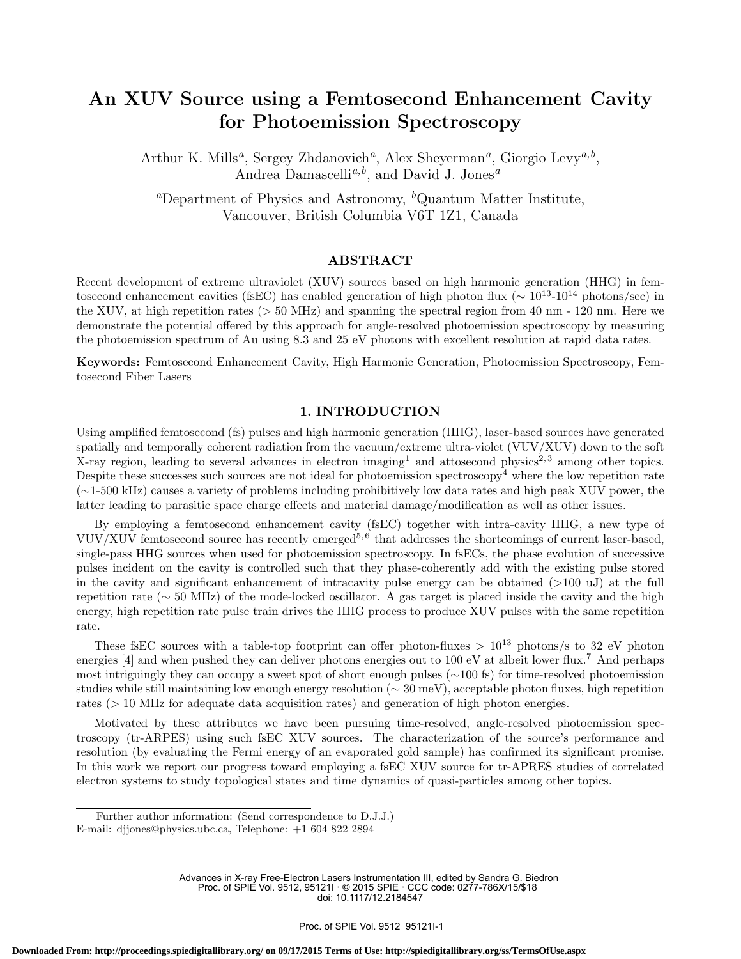# An XUV Source using a Femtosecond Enhancement Cavity for Photoemission Spectroscopy

Arthur K. Mills<sup>a</sup>, Sergey Zhdanovich<sup>a</sup>, Alex Sheyerman<sup>a</sup>, Giorgio Levy<sup>a,b</sup>, Andrea Damascelli<sup>a,b</sup>, and David J. Jones<sup>a</sup>

<sup>a</sup>Department of Physics and Astronomy,  ${}^b$ Quantum Matter Institute, Vancouver, British Columbia V6T 1Z1, Canada

# ABSTRACT

Recent development of extreme ultraviolet (XUV) sources based on high harmonic generation (HHG) in femtosecond enhancement cavities (fsEC) has enabled generation of high photon flux ( $\sim 10^{13}$ -10<sup>14</sup> photons/sec) in the XUV, at high repetition rates (> 50 MHz) and spanning the spectral region from 40 nm - 120 nm. Here we demonstrate the potential offered by this approach for angle-resolved photoemission spectroscopy by measuring the photoemission spectrum of Au using 8.3 and 25 eV photons with excellent resolution at rapid data rates.

Keywords: Femtosecond Enhancement Cavity, High Harmonic Generation, Photoemission Spectroscopy, Femtosecond Fiber Lasers

## 1. INTRODUCTION

Using amplified femtosecond (fs) pulses and high harmonic generation (HHG), laser-based sources have generated spatially and temporally coherent radiation from the vacuum/extreme ultra-violet (VUV/XUV) down to the soft X-ray region, leading to several advances in electron imaging<sup>1</sup> and attosecond physics<sup>2,3</sup> among other topics. Despite these successes such sources are not ideal for photoemission spectroscopy<sup>4</sup> where the low repetition rate (∼1-500 kHz) causes a variety of problems including prohibitively low data rates and high peak XUV power, the latter leading to parasitic space charge effects and material damage/modification as well as other issues.

By employing a femtosecond enhancement cavity (fsEC) together with intra-cavity HHG, a new type of VUV/XUV femtosecond source has recently emerged<sup>5,6</sup> that addresses the shortcomings of current laser-based, single-pass HHG sources when used for photoemission spectroscopy. In fsECs, the phase evolution of successive pulses incident on the cavity is controlled such that they phase-coherently add with the existing pulse stored in the cavity and significant enhancement of intracavity pulse energy can be obtained (>100 uJ) at the full repetition rate (∼ 50 MHz) of the mode-locked oscillator. A gas target is placed inside the cavity and the high energy, high repetition rate pulse train drives the HHG process to produce XUV pulses with the same repetition rate.

These fsEC sources with a table-top footprint can offer photon-fluxes  $> 10^{13}$  photons/s to 32 eV photon energies [4] and when pushed they can deliver photons energies out to 100 eV at albeit lower flux.<sup>7</sup> And perhaps most intriguingly they can occupy a sweet spot of short enough pulses (∼100 fs) for time-resolved photoemission studies while still maintaining low enough energy resolution (∼ 30 meV), acceptable photon fluxes, high repetition rates (> 10 MHz for adequate data acquisition rates) and generation of high photon energies.

Motivated by these attributes we have been pursuing time-resolved, angle-resolved photoemission spectroscopy (tr-ARPES) using such fsEC XUV sources. The characterization of the source's performance and resolution (by evaluating the Fermi energy of an evaporated gold sample) has confirmed its significant promise. In this work we report our progress toward employing a fsEC XUV source for tr-APRES studies of correlated electron systems to study topological states and time dynamics of quasi-particles among other topics.

Further author information: (Send correspondence to D.J.J.) E-mail: djjones@physics.ubc.ca, Telephone: +1 604 822 2894

Advances in X-ray Free-Electron Lasers Instrumentation III, edited by Sandra G. Biedron Proc. of SPIE Vol. 9512, 95121I · © 2015 SPIE · CCC code: 0277-786X/15/\$18 doi: 10.1117/12.2184547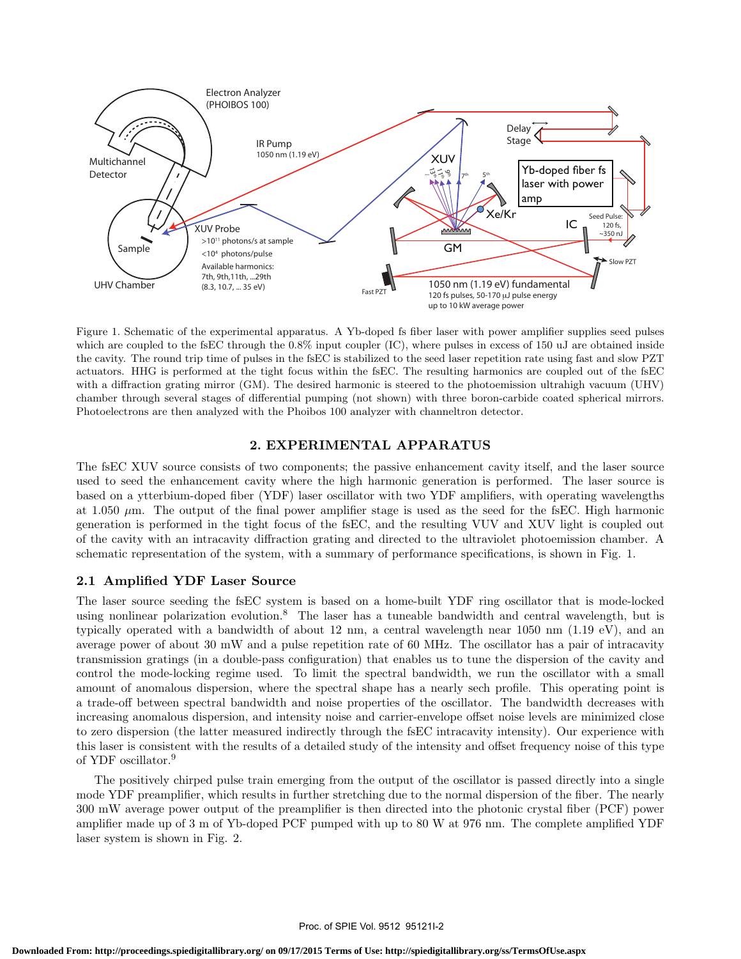

Figure 1. Schematic of the experimental apparatus. A Yb-doped fs fiber laser with power amplifier supplies seed pulses which are coupled to the fsEC through the 0.8% input coupler (IC), where pulses in excess of 150 uJ are obtained inside the cavity. The round trip time of pulses in the fsEC is stabilized to the seed laser repetition rate using fast and slow PZT actuators. HHG is performed at the tight focus within the fsEC. The resulting harmonics are coupled out of the fsEC with a diffraction grating mirror (GM). The desired harmonic is steered to the photoemission ultrahigh vacuum (UHV) chamber through several stages of differential pumping (not shown) with three boron-carbide coated spherical mirrors. Photoelectrons are then analyzed with the Phoibos 100 analyzer with channeltron detector.

# 2. EXPERIMENTAL APPARATUS

The fsEC XUV source consists of two components; the passive enhancement cavity itself, and the laser source used to seed the enhancement cavity where the high harmonic generation is performed. The laser source is based on a ytterbium-doped fiber (YDF) laser oscillator with two YDF amplifiers, with operating wavelengths at 1.050  $\mu$ m. The output of the final power amplifier stage is used as the seed for the fsEC. High harmonic generation is performed in the tight focus of the fsEC, and the resulting VUV and XUV light is coupled out of the cavity with an intracavity diffraction grating and directed to the ultraviolet photoemission chamber. A schematic representation of the system, with a summary of performance specifications, is shown in Fig. 1.

## 2.1 Amplified YDF Laser Source

The laser source seeding the fsEC system is based on a home-built YDF ring oscillator that is mode-locked using nonlinear polarization evolution.<sup>8</sup> The laser has a tuneable bandwidth and central wavelength, but is typically operated with a bandwidth of about 12 nm, a central wavelength near 1050 nm (1.19 eV), and an average power of about 30 mW and a pulse repetition rate of 60 MHz. The oscillator has a pair of intracavity transmission gratings (in a double-pass configuration) that enables us to tune the dispersion of the cavity and control the mode-locking regime used. To limit the spectral bandwidth, we run the oscillator with a small amount of anomalous dispersion, where the spectral shape has a nearly sech profile. This operating point is a trade-off between spectral bandwidth and noise properties of the oscillator. The bandwidth decreases with increasing anomalous dispersion, and intensity noise and carrier-envelope offset noise levels are minimized close to zero dispersion (the latter measured indirectly through the fsEC intracavity intensity). Our experience with this laser is consistent with the results of a detailed study of the intensity and offset frequency noise of this type of YDF oscillator.<sup>9</sup>

The positively chirped pulse train emerging from the output of the oscillator is passed directly into a single mode YDF preamplifier, which results in further stretching due to the normal dispersion of the fiber. The nearly 300 mW average power output of the preamplifier is then directed into the photonic crystal fiber (PCF) power amplifier made up of 3 m of Yb-doped PCF pumped with up to 80 W at 976 nm. The complete amplified YDF laser system is shown in Fig. 2.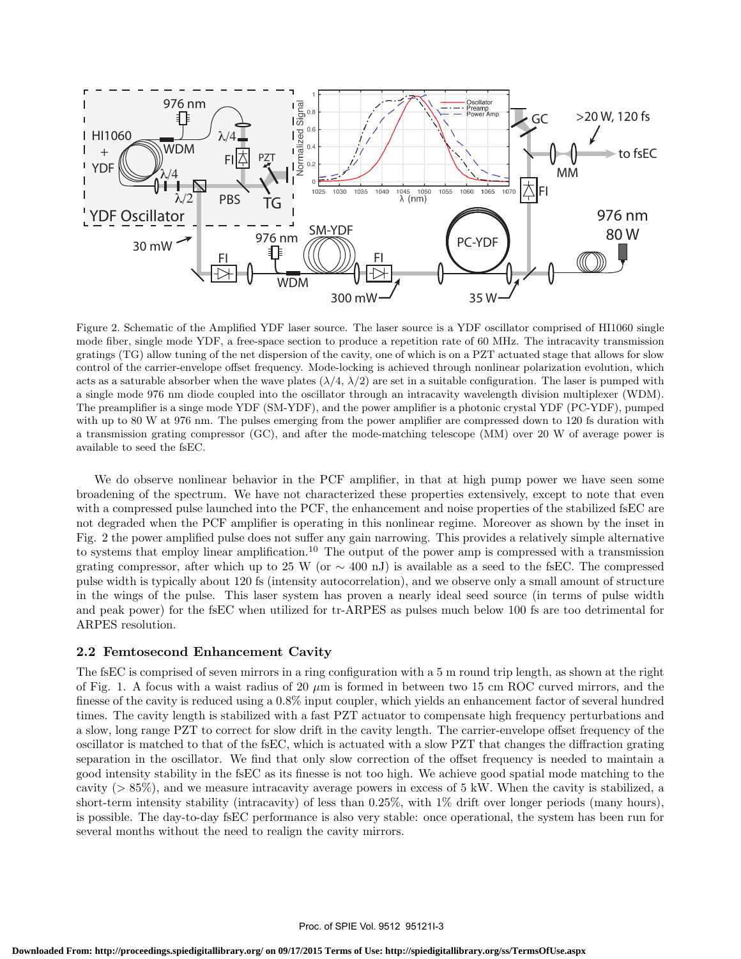

Figure 2. Schematic of the Amplified YDF laser source. The laser source is a YDF oscillator comprised of HI1060 single mode fiber, single mode YDF, a free-space section to produce a repetition rate of 60 MHz. The intracavity transmission gratings (TG) allow tuning of the net dispersion of the cavity, one of which is on a PZT actuated stage that allows for slow control of the carrier-envelope offset frequency. Mode-locking is achieved through nonlinear polarization evolution, which acts as a saturable absorber when the wave plates  $(\lambda/4, \lambda/2)$  are set in a suitable configuration. The laser is pumped with a single mode 976 nm diode coupled into the oscillator through an intracavity wavelength division multiplexer (WDM). The preamplifier is a singe mode YDF (SM-YDF), and the power amplifier is a photonic crystal YDF (PC-YDF), pumped with up to 80 W at 976 nm. The pulses emerging from the power amplifier are compressed down to 120 fs duration with a transmission grating compressor (GC), and after the mode-matching telescope (MM) over 20 W of average power is available to seed the fsEC.

We do observe nonlinear behavior in the PCF amplifier, in that at high pump power we have seen some broadening of the spectrum. We have not characterized these properties extensively, except to note that even with a compressed pulse launched into the PCF, the enhancement and noise properties of the stabilized fsEC are not degraded when the PCF amplifier is operating in this nonlinear regime. Moreover as shown by the inset in Fig. 2 the power amplified pulse does not suffer any gain narrowing. This provides a relatively simple alternative to systems that employ linear amplification.<sup>10</sup> The output of the power amp is compressed with a transmission grating compressor, after which up to 25 W (or  $\sim$  400 nJ) is available as a seed to the fsEC. The compressed pulse width is typically about 120 fs (intensity autocorrelation), and we observe only a small amount of structure in the wings of the pulse. This laser system has proven a nearly ideal seed source (in terms of pulse width and peak power) for the fsEC when utilized for tr-ARPES as pulses much below 100 fs are too detrimental for ARPES resolution.

#### 2.2 Femtosecond Enhancement Cavity

The fsEC is comprised of seven mirrors in a ring configuration with a 5 m round trip length, as shown at the right of Fig. 1. A focus with a waist radius of 20  $\mu$ m is formed in between two 15 cm ROC curved mirrors, and the finesse of the cavity is reduced using a 0.8% input coupler, which yields an enhancement factor of several hundred times. The cavity length is stabilized with a fast PZT actuator to compensate high frequency perturbations and a slow, long range PZT to correct for slow drift in the cavity length. The carrier-envelope offset frequency of the oscillator is matched to that of the fsEC, which is actuated with a slow PZT that changes the diffraction grating separation in the oscillator. We find that only slow correction of the offset frequency is needed to maintain a good intensity stability in the fsEC as its finesse is not too high. We achieve good spatial mode matching to the cavity (> 85%), and we measure intracavity average powers in excess of 5 kW. When the cavity is stabilized, a short-term intensity stability (intracavity) of less than 0.25%, with 1% drift over longer periods (many hours), is possible. The day-to-day fsEC performance is also very stable: once operational, the system has been run for several months without the need to realign the cavity mirrors.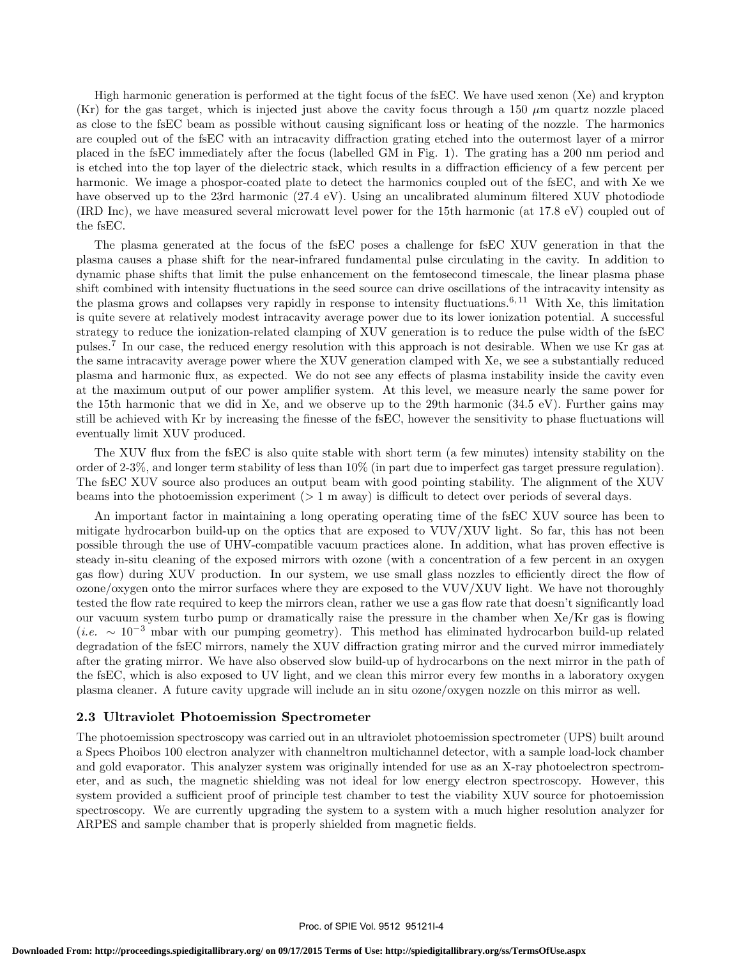High harmonic generation is performed at the tight focus of the fsEC. We have used xenon (Xe) and krypton (Kr) for the gas target, which is injected just above the cavity focus through a 150  $\mu$ m quartz nozzle placed as close to the fsEC beam as possible without causing significant loss or heating of the nozzle. The harmonics are coupled out of the fsEC with an intracavity diffraction grating etched into the outermost layer of a mirror placed in the fsEC immediately after the focus (labelled GM in Fig. 1). The grating has a 200 nm period and is etched into the top layer of the dielectric stack, which results in a diffraction efficiency of a few percent per harmonic. We image a phospor-coated plate to detect the harmonics coupled out of the fsEC, and with Xe we have observed up to the 23rd harmonic (27.4 eV). Using an uncalibrated aluminum filtered XUV photodiode (IRD Inc), we have measured several microwatt level power for the 15th harmonic (at 17.8 eV) coupled out of the fsEC.

The plasma generated at the focus of the fsEC poses a challenge for fsEC XUV generation in that the plasma causes a phase shift for the near-infrared fundamental pulse circulating in the cavity. In addition to dynamic phase shifts that limit the pulse enhancement on the femtosecond timescale, the linear plasma phase shift combined with intensity fluctuations in the seed source can drive oscillations of the intracavity intensity as the plasma grows and collapses very rapidly in response to intensity fluctuations.<sup>6, 11</sup> With Xe, this limitation is quite severe at relatively modest intracavity average power due to its lower ionization potential. A successful strategy to reduce the ionization-related clamping of XUV generation is to reduce the pulse width of the fsEC pulses.<sup>7</sup> In our case, the reduced energy resolution with this approach is not desirable. When we use Kr gas at the same intracavity average power where the XUV generation clamped with Xe, we see a substantially reduced plasma and harmonic flux, as expected. We do not see any effects of plasma instability inside the cavity even at the maximum output of our power amplifier system. At this level, we measure nearly the same power for the 15th harmonic that we did in Xe, and we observe up to the 29th harmonic (34.5 eV). Further gains may still be achieved with Kr by increasing the finesse of the fsEC, however the sensitivity to phase fluctuations will eventually limit XUV produced.

The XUV flux from the fsEC is also quite stable with short term (a few minutes) intensity stability on the order of 2-3%, and longer term stability of less than 10% (in part due to imperfect gas target pressure regulation). The fsEC XUV source also produces an output beam with good pointing stability. The alignment of the XUV beams into the photoemission experiment (> 1 m away) is difficult to detect over periods of several days.

An important factor in maintaining a long operating operating time of the fsEC XUV source has been to mitigate hydrocarbon build-up on the optics that are exposed to VUV/XUV light. So far, this has not been possible through the use of UHV-compatible vacuum practices alone. In addition, what has proven effective is steady in-situ cleaning of the exposed mirrors with ozone (with a concentration of a few percent in an oxygen gas flow) during XUV production. In our system, we use small glass nozzles to efficiently direct the flow of ozone/oxygen onto the mirror surfaces where they are exposed to the VUV/XUV light. We have not thoroughly tested the flow rate required to keep the mirrors clean, rather we use a gas flow rate that doesn't significantly load our vacuum system turbo pump or dramatically raise the pressure in the chamber when Xe/Kr gas is flowing (*i.e.*  $\sim 10^{-3}$  mbar with our pumping geometry). This method has eliminated hydrocarbon build-up related degradation of the fsEC mirrors, namely the XUV diffraction grating mirror and the curved mirror immediately after the grating mirror. We have also observed slow build-up of hydrocarbons on the next mirror in the path of the fsEC, which is also exposed to UV light, and we clean this mirror every few months in a laboratory oxygen plasma cleaner. A future cavity upgrade will include an in situ ozone/oxygen nozzle on this mirror as well.

#### 2.3 Ultraviolet Photoemission Spectrometer

The photoemission spectroscopy was carried out in an ultraviolet photoemission spectrometer (UPS) built around a Specs Phoibos 100 electron analyzer with channeltron multichannel detector, with a sample load-lock chamber and gold evaporator. This analyzer system was originally intended for use as an X-ray photoelectron spectrometer, and as such, the magnetic shielding was not ideal for low energy electron spectroscopy. However, this system provided a sufficient proof of principle test chamber to test the viability XUV source for photoemission spectroscopy. We are currently upgrading the system to a system with a much higher resolution analyzer for ARPES and sample chamber that is properly shielded from magnetic fields.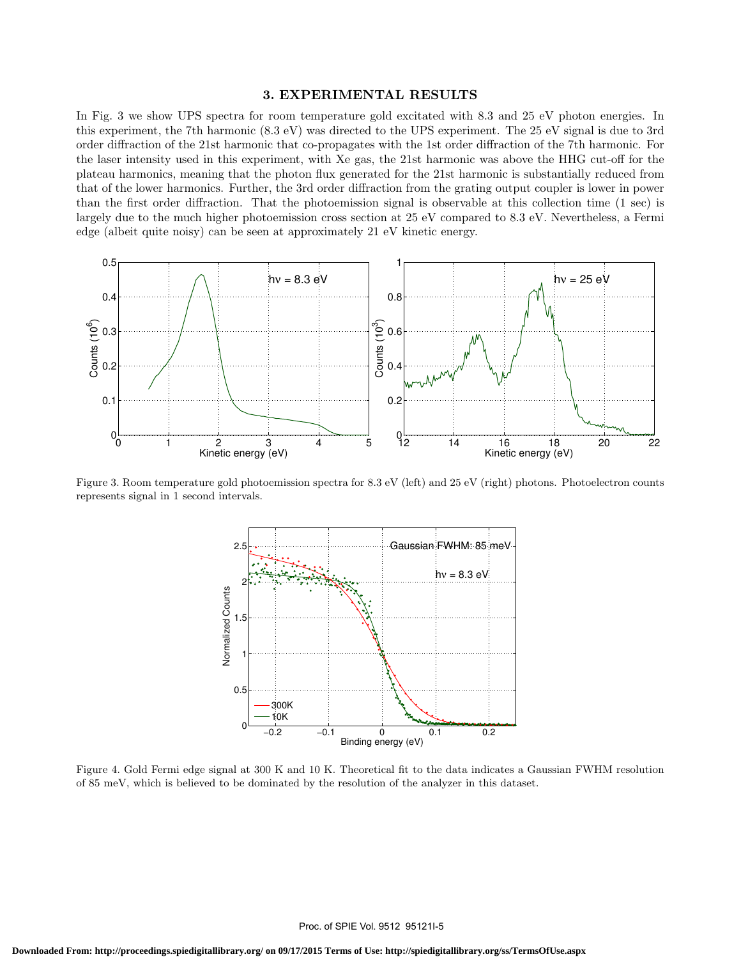#### 3. EXPERIMENTAL RESULTS

In Fig. 3 we show UPS spectra for room temperature gold excitated with 8.3 and 25 eV photon energies. In this experiment, the 7th harmonic (8.3 eV) was directed to the UPS experiment. The 25 eV signal is due to 3rd order diffraction of the 21st harmonic that co-propagates with the 1st order diffraction of the 7th harmonic. For the laser intensity used in this experiment, with Xe gas, the 21st harmonic was above the HHG cut-off for the plateau harmonics, meaning that the photon flux generated for the 21st harmonic is substantially reduced from that of the lower harmonics. Further, the 3rd order diffraction from the grating output coupler is lower in power than the first order diffraction. That the photoemission signal is observable at this collection time (1 sec) is largely due to the much higher photoemission cross section at 25 eV compared to 8.3 eV. Nevertheless, a Fermi edge (albeit quite noisy) can be seen at approximately 21 eV kinetic energy.



Figure 3. Room temperature gold photoemission spectra for 8.3 eV (left) and 25 eV (right) photons. Photoelectron counts represents signal in 1 second intervals.



Figure 4. Gold Fermi edge signal at 300 K and 10 K. Theoretical fit to the data indicates a Gaussian FWHM resolution of 85 meV, which is believed to be dominated by the resolution of the analyzer in this dataset.